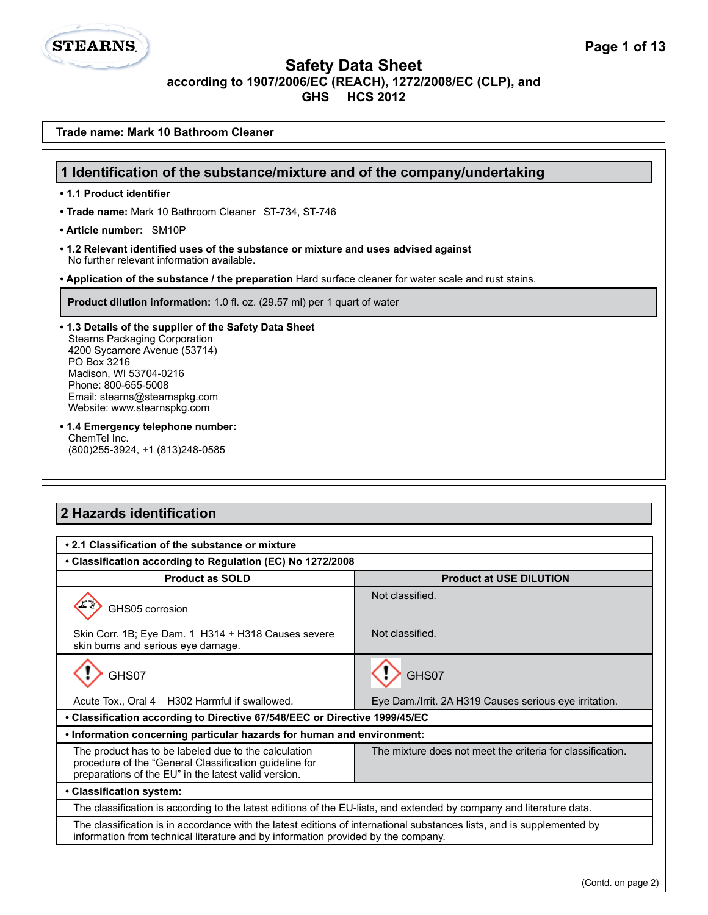**1 Identification of the substance/mixture and of the company/undertaking**

**Trade name: Mark 10 Bathroom Cleaner**

**• 1.1 Product identifier**

**STEARNS.** 

| • Trade name: Mark 10 Bathroom Cleaner ST-734, ST-746                                                                                                                                                                                                          |                                                            |  |
|----------------------------------------------------------------------------------------------------------------------------------------------------------------------------------------------------------------------------------------------------------------|------------------------------------------------------------|--|
| • Article number: SM10P                                                                                                                                                                                                                                        |                                                            |  |
| • 1.2 Relevant identified uses of the substance or mixture and uses advised against<br>No further relevant information available.                                                                                                                              |                                                            |  |
| . Application of the substance / the preparation Hard surface cleaner for water scale and rust stains.                                                                                                                                                         |                                                            |  |
| Product dilution information: 1.0 fl. oz. (29.57 ml) per 1 quart of water                                                                                                                                                                                      |                                                            |  |
| • 1.3 Details of the supplier of the Safety Data Sheet<br><b>Stearns Packaging Corporation</b><br>4200 Sycamore Avenue (53714)<br>PO Box 3216<br>Madison, WI 53704-0216<br>Phone: 800-655-5008<br>Email: stearns@stearnspkg.com<br>Website: www.stearnspkg.com |                                                            |  |
| • 1.4 Emergency telephone number:<br>ChemTel Inc.<br>(800) 255-3924, +1 (813) 248-0585                                                                                                                                                                         |                                                            |  |
| 2 Hazards identification                                                                                                                                                                                                                                       |                                                            |  |
| • 2.1 Classification of the substance or mixture                                                                                                                                                                                                               |                                                            |  |
| • Classification according to Regulation (EC) No 1272/2008                                                                                                                                                                                                     |                                                            |  |
| <b>Product as SOLD</b>                                                                                                                                                                                                                                         | <b>Product at USE DILUTION</b>                             |  |
| GHS05 corrosion                                                                                                                                                                                                                                                | Not classified.                                            |  |
| Skin Corr. 1B; Eye Dam. 1 H314 + H318 Causes severe<br>skin burns and serious eye damage.                                                                                                                                                                      | Not classified.                                            |  |
| GHS07                                                                                                                                                                                                                                                          | GHS07                                                      |  |
| Acute Tox., Oral 4 H302 Harmful if swallowed.                                                                                                                                                                                                                  | Eye Dam./Irrit. 2A H319 Causes serious eye irritation.     |  |
| Classification according to Directive 67/548/EEC or Directive 1999/45/EC                                                                                                                                                                                       |                                                            |  |
| • Information concerning particular hazards for human and environment:                                                                                                                                                                                         |                                                            |  |
| The product has to be labeled due to the calculation<br>procedure of the "General Classification guideline for<br>preparations of the EU" in the latest valid version.                                                                                         | The mixture does not meet the criteria for classification. |  |
| • Classification system:                                                                                                                                                                                                                                       |                                                            |  |
| The classification is according to the latest editions of the EU-lists, and extended by company and literature data.                                                                                                                                           |                                                            |  |
| The classification is in accordance with the latest editions of international substances lists, and is supplemented by<br>information from technical literature and by information provided by the company.                                                    |                                                            |  |
|                                                                                                                                                                                                                                                                | (Contd. on page 2)                                         |  |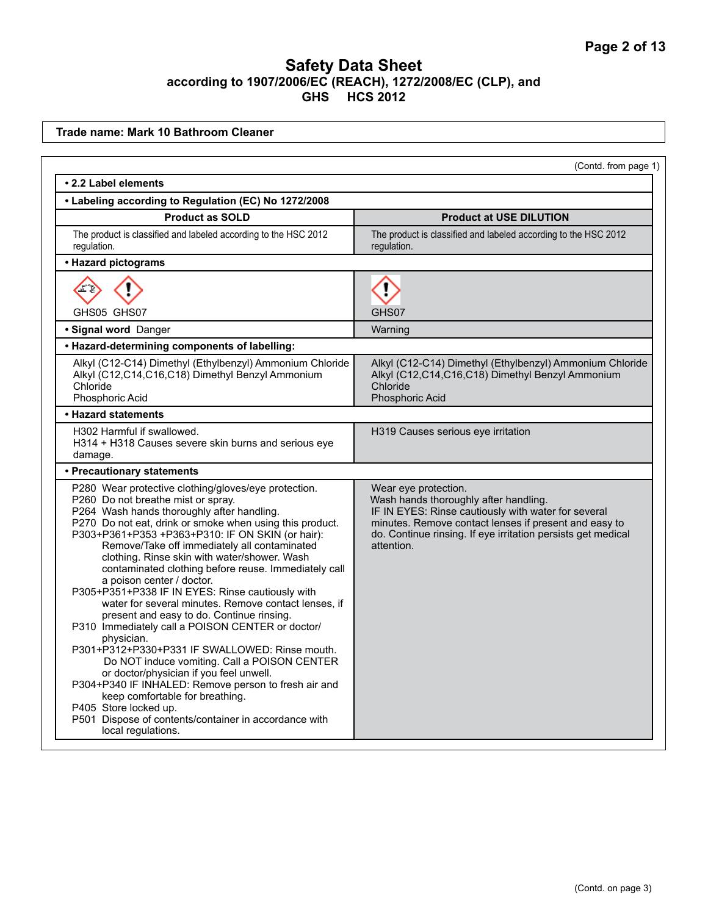**Trade name: Mark 10 Bathroom Cleaner**

| (Contd. from page 1)                                                                                                                                                                                                                                                                                                                                                                                                                                                                                                                                                                                                                                                                                                                                                                                                                                                                                                                                                                                                     |                                                                                                                                                                                                                                                             |  |
|--------------------------------------------------------------------------------------------------------------------------------------------------------------------------------------------------------------------------------------------------------------------------------------------------------------------------------------------------------------------------------------------------------------------------------------------------------------------------------------------------------------------------------------------------------------------------------------------------------------------------------------------------------------------------------------------------------------------------------------------------------------------------------------------------------------------------------------------------------------------------------------------------------------------------------------------------------------------------------------------------------------------------|-------------------------------------------------------------------------------------------------------------------------------------------------------------------------------------------------------------------------------------------------------------|--|
| • 2.2 Label elements                                                                                                                                                                                                                                                                                                                                                                                                                                                                                                                                                                                                                                                                                                                                                                                                                                                                                                                                                                                                     |                                                                                                                                                                                                                                                             |  |
| • Labeling according to Regulation (EC) No 1272/2008                                                                                                                                                                                                                                                                                                                                                                                                                                                                                                                                                                                                                                                                                                                                                                                                                                                                                                                                                                     |                                                                                                                                                                                                                                                             |  |
| <b>Product as SOLD</b>                                                                                                                                                                                                                                                                                                                                                                                                                                                                                                                                                                                                                                                                                                                                                                                                                                                                                                                                                                                                   | <b>Product at USE DILUTION</b>                                                                                                                                                                                                                              |  |
| The product is classified and labeled according to the HSC 2012<br>regulation.                                                                                                                                                                                                                                                                                                                                                                                                                                                                                                                                                                                                                                                                                                                                                                                                                                                                                                                                           | The product is classified and labeled according to the HSC 2012<br>regulation.                                                                                                                                                                              |  |
| • Hazard pictograms                                                                                                                                                                                                                                                                                                                                                                                                                                                                                                                                                                                                                                                                                                                                                                                                                                                                                                                                                                                                      |                                                                                                                                                                                                                                                             |  |
| GHS05 GHS07                                                                                                                                                                                                                                                                                                                                                                                                                                                                                                                                                                                                                                                                                                                                                                                                                                                                                                                                                                                                              | GHS07                                                                                                                                                                                                                                                       |  |
| · Signal word Danger                                                                                                                                                                                                                                                                                                                                                                                                                                                                                                                                                                                                                                                                                                                                                                                                                                                                                                                                                                                                     | Warning                                                                                                                                                                                                                                                     |  |
| • Hazard-determining components of labelling:                                                                                                                                                                                                                                                                                                                                                                                                                                                                                                                                                                                                                                                                                                                                                                                                                                                                                                                                                                            |                                                                                                                                                                                                                                                             |  |
| Alkyl (C12-C14) Dimethyl (Ethylbenzyl) Ammonium Chloride<br>Alkyl (C12,C14,C16,C18) Dimethyl Benzyl Ammonium<br>Chloride<br>Phosphoric Acid                                                                                                                                                                                                                                                                                                                                                                                                                                                                                                                                                                                                                                                                                                                                                                                                                                                                              | Alkyl (C12-C14) Dimethyl (Ethylbenzyl) Ammonium Chloride<br>Alkyl (C12,C14,C16,C18) Dimethyl Benzyl Ammonium<br>Chloride<br>Phosphoric Acid                                                                                                                 |  |
| • Hazard statements                                                                                                                                                                                                                                                                                                                                                                                                                                                                                                                                                                                                                                                                                                                                                                                                                                                                                                                                                                                                      |                                                                                                                                                                                                                                                             |  |
| H302 Harmful if swallowed.<br>H314 + H318 Causes severe skin burns and serious eye<br>damage.                                                                                                                                                                                                                                                                                                                                                                                                                                                                                                                                                                                                                                                                                                                                                                                                                                                                                                                            | H319 Causes serious eye irritation                                                                                                                                                                                                                          |  |
| • Precautionary statements                                                                                                                                                                                                                                                                                                                                                                                                                                                                                                                                                                                                                                                                                                                                                                                                                                                                                                                                                                                               |                                                                                                                                                                                                                                                             |  |
| P280 Wear protective clothing/gloves/eye protection.<br>P260 Do not breathe mist or spray.<br>P264 Wash hands thoroughly after handling.<br>P270 Do not eat, drink or smoke when using this product.<br>P303+P361+P353 +P363+P310: IF ON SKIN (or hair):<br>Remove/Take off immediately all contaminated<br>clothing. Rinse skin with water/shower. Wash<br>contaminated clothing before reuse. Immediately call<br>a poison center / doctor.<br>P305+P351+P338 IF IN EYES: Rinse cautiously with<br>water for several minutes. Remove contact lenses, if<br>present and easy to do. Continue rinsing.<br>P310 Immediately call a POISON CENTER or doctor/<br>physician.<br>P301+P312+P330+P331 IF SWALLOWED: Rinse mouth.<br>Do NOT induce vomiting. Call a POISON CENTER<br>or doctor/physician if you feel unwell.<br>P304+P340 IF INHALED: Remove person to fresh air and<br>keep comfortable for breathing.<br>P405 Store locked up.<br>P501 Dispose of contents/container in accordance with<br>local regulations. | Wear eye protection.<br>Wash hands thoroughly after handling.<br>IF IN EYES: Rinse cautiously with water for several<br>minutes. Remove contact lenses if present and easy to<br>do. Continue rinsing. If eye irritation persists get medical<br>attention. |  |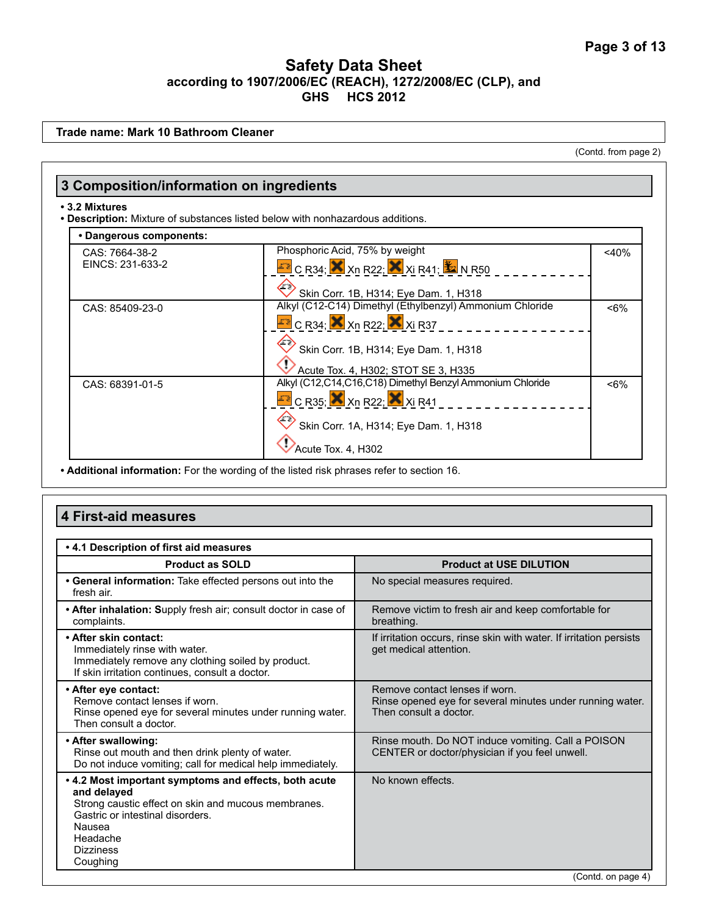**Trade name: Mark 10 Bathroom Cleaner**

(Contd. from page 2)

| • Dangerous components:            |                                                                                                                                |         |
|------------------------------------|--------------------------------------------------------------------------------------------------------------------------------|---------|
| CAS: 7664-38-2<br>EINCS: 231-633-2 | Phosphoric Acid, 75% by weight<br>$\text{F}$ C R34; $\text{X}$ Xn R22; $\text{X}$ Xi R41; $\text{X}$ N R50                     | $<$ 40% |
|                                    | Skin Corr. 1B, H314; Eye Dam. 1, H318                                                                                          |         |
| CAS: 85409-23-0                    | Alkyl (C12-C14) Dimethyl (Ethylbenzyl) Ammonium Chloride<br>$\overline{Z}$ C R34; $\overline{X}$ Xn R22; $\overline{X}$ Xi R37 | $<6\%$  |
|                                    | Skin Corr. 1B, H314; Eye Dam. 1, H318<br>Acute Tox. 4, H302; STOT SE 3, H335                                                   |         |
| CAS: 68391-01-5                    | Alkyl (C12,C14,C16,C18) Dimethyl Benzyl Ammonium Chloride<br>$\mathbb{Z}$ C R35; $\mathsf{X}$ Xn R22; $\mathsf{X}$ Xi R41      | $< 6\%$ |
|                                    | Skin Corr. 1A, H314; Eye Dam. 1, H318                                                                                          |         |
|                                    | Acute Tox. 4, H302                                                                                                             |         |

**• Additional information:** For the wording of the listed risk phrases refer to section 16.

# **4 First-aid measures**

| .4.1 Description of first aid measures                                                                                                                                                                                |                                                                                                                       |
|-----------------------------------------------------------------------------------------------------------------------------------------------------------------------------------------------------------------------|-----------------------------------------------------------------------------------------------------------------------|
| <b>Product as SOLD</b>                                                                                                                                                                                                | <b>Product at USE DILUTION</b>                                                                                        |
| • General information: Take effected persons out into the<br>fresh air.                                                                                                                                               | No special measures required.                                                                                         |
| • After inhalation: Supply fresh air; consult doctor in case of<br>complaints.                                                                                                                                        | Remove victim to fresh air and keep comfortable for<br>breathing.                                                     |
| • After skin contact:<br>Immediately rinse with water.<br>Immediately remove any clothing soiled by product.<br>If skin irritation continues, consult a doctor.                                                       | If irritation occurs, rinse skin with water. If irritation persists<br>get medical attention.                         |
| • After eye contact:<br>Remove contact lenses if worn.<br>Rinse opened eye for several minutes under running water.<br>Then consult a doctor.                                                                         | Remove contact lenses if worn.<br>Rinse opened eye for several minutes under running water.<br>Then consult a doctor. |
| • After swallowing:<br>Rinse out mouth and then drink plenty of water.<br>Do not induce vomiting; call for medical help immediately.                                                                                  | Rinse mouth. Do NOT induce vomiting. Call a POISON<br>CENTER or doctor/physician if you feel unwell.                  |
| . 4.2 Most important symptoms and effects, both acute<br>and delayed<br>Strong caustic effect on skin and mucous membranes.<br>Gastric or intestinal disorders.<br>Nausea<br>Headache<br><b>Dizziness</b><br>Coughing | No known effects.                                                                                                     |
|                                                                                                                                                                                                                       | (Contd. on page 4)                                                                                                    |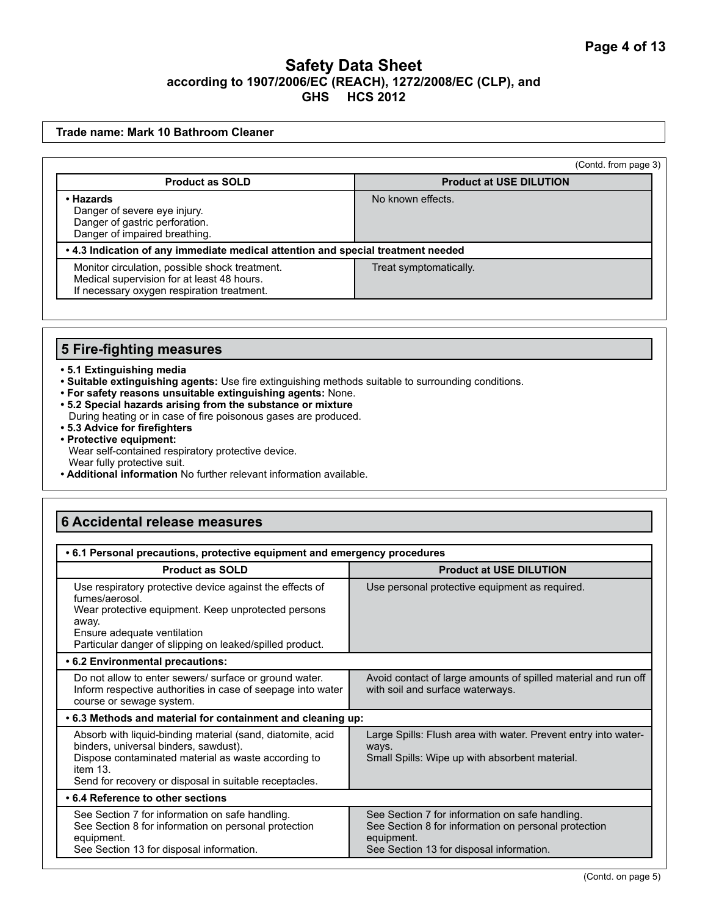#### **Trade name: Mark 10 Bathroom Cleaner**

(Contd. from page 3)

| <b>Product as SOLD</b>                                                                                                                     | <b>Product at USE DILUTION</b> |  |
|--------------------------------------------------------------------------------------------------------------------------------------------|--------------------------------|--|
| • Hazards<br>Danger of severe eye injury.<br>Danger of gastric perforation.<br>Danger of impaired breathing.                               | No known effects.              |  |
| • 4.3 Indication of any immediate medical attention and special treatment needed                                                           |                                |  |
| Monitor circulation, possible shock treatment.<br>Medical supervision for at least 48 hours.<br>If necessary oxygen respiration treatment. | Treat symptomatically.         |  |

#### **5 Fire-fighting measures**

- **5.1 Extinguishing media**
- **Suitable extinguishing agents:** Use fire extinguishing methods suitable to surrounding conditions.
- **For safety reasons unsuitable extinguishing agents:** None.
- **5.2 Special hazards arising from the substance or mixture**
- During heating or in case of fire poisonous gases are produced.
- **5.3 Advice for firefighters**
- **Protective equipment:** Wear self-contained respiratory protective device.
- Wear fully protective suit.
- **Additional information** No further relevant information available.

#### **6 Accidental release measures**

| • 6.1 Personal precautions, protective equipment and emergency procedures                                                                                                                                                             |                                                                                                                                                                   |  |
|---------------------------------------------------------------------------------------------------------------------------------------------------------------------------------------------------------------------------------------|-------------------------------------------------------------------------------------------------------------------------------------------------------------------|--|
| <b>Product as SOLD</b>                                                                                                                                                                                                                | <b>Product at USE DILUTION</b>                                                                                                                                    |  |
| Use respiratory protective device against the effects of<br>fumes/aerosol.<br>Wear protective equipment. Keep unprotected persons<br>away.<br>Ensure adequate ventilation<br>Particular danger of slipping on leaked/spilled product. | Use personal protective equipment as required.                                                                                                                    |  |
| • 6.2 Environmental precautions:                                                                                                                                                                                                      |                                                                                                                                                                   |  |
| Do not allow to enter sewers/ surface or ground water.<br>Inform respective authorities in case of seepage into water<br>course or sewage system.                                                                                     | Avoid contact of large amounts of spilled material and run off<br>with soil and surface waterways.                                                                |  |
| .6.3 Methods and material for containment and cleaning up:                                                                                                                                                                            |                                                                                                                                                                   |  |
| Absorb with liquid-binding material (sand, diatomite, acid<br>binders, universal binders, sawdust).<br>Dispose contaminated material as waste according to<br>item 13.<br>Send for recovery or disposal in suitable receptacles.      | Large Spills: Flush area with water. Prevent entry into water-<br>ways.<br>Small Spills: Wipe up with absorbent material.                                         |  |
| • 6.4 Reference to other sections                                                                                                                                                                                                     |                                                                                                                                                                   |  |
| See Section 7 for information on safe handling.<br>See Section 8 for information on personal protection<br>equipment.<br>See Section 13 for disposal information.                                                                     | See Section 7 for information on safe handling.<br>See Section 8 for information on personal protection<br>equipment.<br>See Section 13 for disposal information. |  |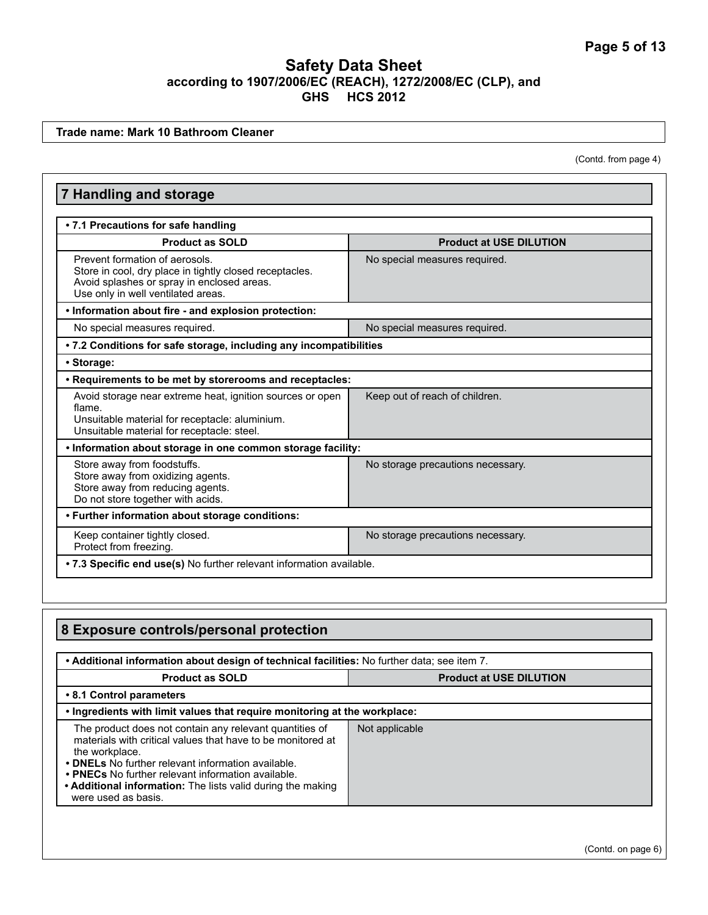**Trade name: Mark 10 Bathroom Cleaner**

(Contd. from page 4)

| <b>7 Handling and storage</b>                                                                                                                                                 |                                   |  |
|-------------------------------------------------------------------------------------------------------------------------------------------------------------------------------|-----------------------------------|--|
| • 7.1 Precautions for safe handling                                                                                                                                           |                                   |  |
| <b>Product as SOLD</b>                                                                                                                                                        | <b>Product at USE DILUTION</b>    |  |
| Prevent formation of aerosols.<br>Store in cool, dry place in tightly closed receptacles.<br>Avoid splashes or spray in enclosed areas.<br>Use only in well ventilated areas. | No special measures required.     |  |
| . Information about fire - and explosion protection:                                                                                                                          |                                   |  |
| No special measures required.                                                                                                                                                 | No special measures required.     |  |
| . 7.2 Conditions for safe storage, including any incompatibilities                                                                                                            |                                   |  |
| • Storage:                                                                                                                                                                    |                                   |  |
| • Requirements to be met by storerooms and receptacles:                                                                                                                       |                                   |  |
| Avoid storage near extreme heat, ignition sources or open<br>flame.<br>Unsuitable material for receptacle: aluminium.<br>Unsuitable material for receptacle: steel.           | Keep out of reach of children.    |  |
| . Information about storage in one common storage facility:                                                                                                                   |                                   |  |
| Store away from foodstuffs.<br>Store away from oxidizing agents.<br>Store away from reducing agents.<br>Do not store together with acids.                                     | No storage precautions necessary. |  |
| • Further information about storage conditions:                                                                                                                               |                                   |  |
| Keep container tightly closed.<br>Protect from freezing.                                                                                                                      | No storage precautions necessary. |  |
| .7.3 Specific end use(s) No further relevant information available.                                                                                                           |                                   |  |

| 8 Exposure controls/personal protection                                                                                                                                                                                                                                                                                                    |                                |  |
|--------------------------------------------------------------------------------------------------------------------------------------------------------------------------------------------------------------------------------------------------------------------------------------------------------------------------------------------|--------------------------------|--|
| . Additional information about design of technical facilities: No further data; see item 7.                                                                                                                                                                                                                                                |                                |  |
| <b>Product as SOLD</b>                                                                                                                                                                                                                                                                                                                     | <b>Product at USE DILUTION</b> |  |
| • 8.1 Control parameters                                                                                                                                                                                                                                                                                                                   |                                |  |
| . Ingredients with limit values that require monitoring at the workplace:                                                                                                                                                                                                                                                                  |                                |  |
| The product does not contain any relevant quantities of<br>materials with critical values that have to be monitored at<br>the workplace.<br>• DNELs No further relevant information available.<br>• PNECs No further relevant information available.<br>• Additional information: The lists valid during the making<br>were used as basis. | Not applicable                 |  |

(Contd. on page 6)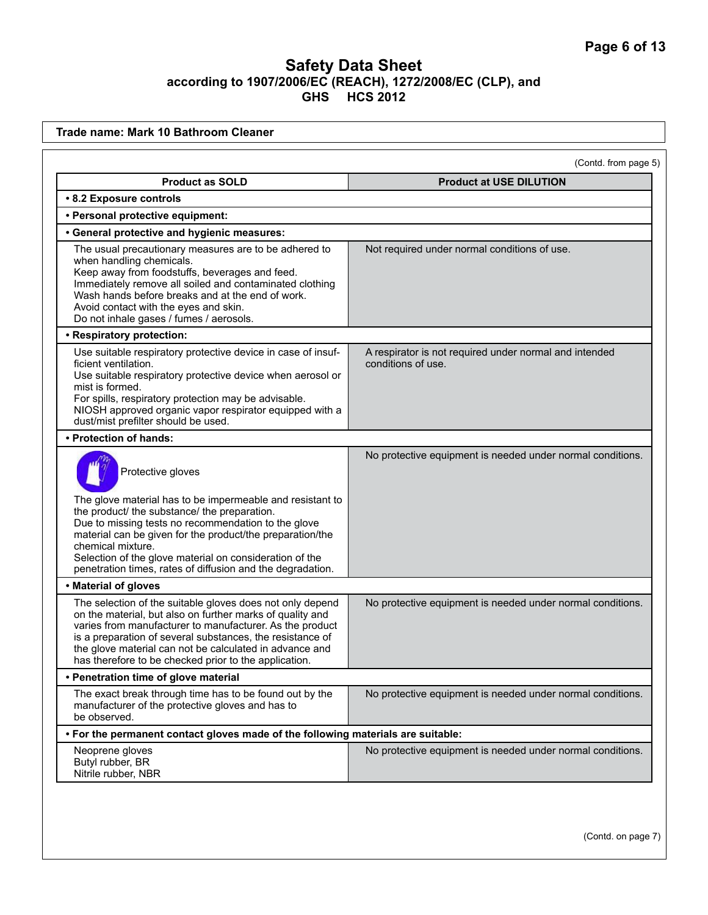| Trade name: Mark 10 Bathroom Cleaner                                                                                                                                                                                                                                                                                                                                                             |                                                                              |
|--------------------------------------------------------------------------------------------------------------------------------------------------------------------------------------------------------------------------------------------------------------------------------------------------------------------------------------------------------------------------------------------------|------------------------------------------------------------------------------|
|                                                                                                                                                                                                                                                                                                                                                                                                  | (Contd. from page 5)                                                         |
| <b>Product as SOLD</b>                                                                                                                                                                                                                                                                                                                                                                           | <b>Product at USE DILUTION</b>                                               |
| • 8.2 Exposure controls                                                                                                                                                                                                                                                                                                                                                                          |                                                                              |
| • Personal protective equipment:                                                                                                                                                                                                                                                                                                                                                                 |                                                                              |
| • General protective and hygienic measures:                                                                                                                                                                                                                                                                                                                                                      |                                                                              |
| The usual precautionary measures are to be adhered to<br>when handling chemicals.<br>Keep away from foodstuffs, beverages and feed.<br>Immediately remove all soiled and contaminated clothing<br>Wash hands before breaks and at the end of work.<br>Avoid contact with the eyes and skin.<br>Do not inhale gases / fumes / aerosols.                                                           | Not required under normal conditions of use.                                 |
| • Respiratory protection:                                                                                                                                                                                                                                                                                                                                                                        |                                                                              |
| Use suitable respiratory protective device in case of insuf-<br>ficient ventilation.<br>Use suitable respiratory protective device when aerosol or<br>mist is formed.<br>For spills, respiratory protection may be advisable.<br>NIOSH approved organic vapor respirator equipped with a<br>dust/mist prefilter should be used.                                                                  | A respirator is not required under normal and intended<br>conditions of use. |
| • Protection of hands:                                                                                                                                                                                                                                                                                                                                                                           |                                                                              |
| Protective gloves<br>The glove material has to be impermeable and resistant to<br>the product/ the substance/ the preparation.<br>Due to missing tests no recommendation to the glove<br>material can be given for the product/the preparation/the<br>chemical mixture.<br>Selection of the glove material on consideration of the<br>penetration times, rates of diffusion and the degradation. | No protective equipment is needed under normal conditions.                   |
| • Material of gloves                                                                                                                                                                                                                                                                                                                                                                             |                                                                              |
| The selection of the suitable gloves does not only depend<br>on the material, but also on further marks of quality and<br>varies from manufacturer to manufacturer. As the product<br>is a preparation of several substances, the resistance of<br>the glove material can not be calculated in advance and<br>has therefore to be checked prior to the application.                              | No protective equipment is needed under normal conditions.                   |
| • Penetration time of glove material                                                                                                                                                                                                                                                                                                                                                             |                                                                              |
| The exact break through time has to be found out by the<br>manufacturer of the protective gloves and has to<br>be observed.                                                                                                                                                                                                                                                                      | No protective equipment is needed under normal conditions.                   |
| . For the permanent contact gloves made of the following materials are suitable:                                                                                                                                                                                                                                                                                                                 |                                                                              |
| Neoprene gloves<br>Butyl rubber, BR<br>Nitrile rubber, NBR                                                                                                                                                                                                                                                                                                                                       | No protective equipment is needed under normal conditions.                   |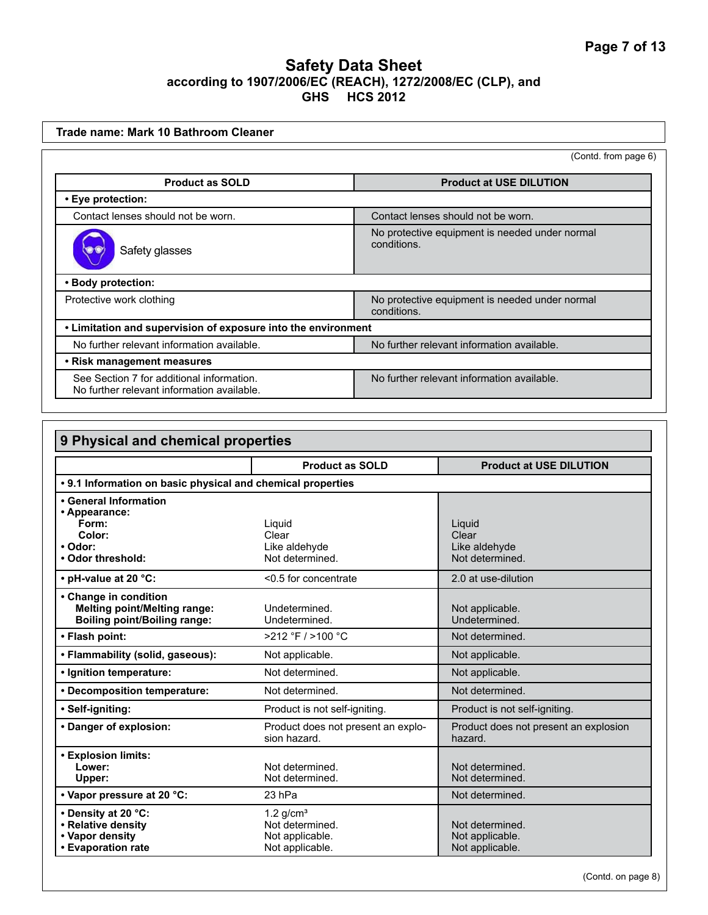| Trade name: Mark 10 Bathroom Cleaner                                                    |                                                               |
|-----------------------------------------------------------------------------------------|---------------------------------------------------------------|
|                                                                                         | (Contd. from page 6)                                          |
| <b>Product as SOLD</b>                                                                  | <b>Product at USE DILUTION</b>                                |
| • Eye protection:                                                                       |                                                               |
| Contact lenses should not be worn.                                                      | Contact lenses should not be worn.                            |
| Safety glasses                                                                          | No protective equipment is needed under normal<br>conditions. |
| • Body protection:                                                                      |                                                               |
| Protective work clothing                                                                | No protective equipment is needed under normal<br>conditions. |
| • Limitation and supervision of exposure into the environment                           |                                                               |
| No further relevant information available.                                              | No further relevant information available.                    |
| • Risk management measures                                                              |                                                               |
| See Section 7 for additional information.<br>No further relevant information available. | No further relevant information available.                    |

| 9 Physical and chemical properties                                                                  |                                                    |                                                  |
|-----------------------------------------------------------------------------------------------------|----------------------------------------------------|--------------------------------------------------|
|                                                                                                     | <b>Product as SOLD</b>                             | <b>Product at USE DILUTION</b>                   |
| • 9.1 Information on basic physical and chemical properties                                         |                                                    |                                                  |
| • General Information                                                                               |                                                    |                                                  |
| • Appearance:                                                                                       |                                                    |                                                  |
| Form:                                                                                               | Liquid                                             | Liquid                                           |
| Color:                                                                                              | Clear                                              | Clear                                            |
| • Odor:                                                                                             | Like aldehyde                                      | Like aldehyde                                    |
| • Odor threshold:                                                                                   | Not determined.                                    | Not determined.                                  |
| • pH-value at 20 °C:                                                                                | <0.5 for concentrate                               | 2.0 at use-dilution                              |
| • Change in condition<br><b>Melting point/Melting range:</b><br><b>Boiling point/Boiling range:</b> | Undetermined.<br>Undetermined.                     | Not applicable.<br>Undetermined.                 |
| • Flash point:                                                                                      | >212 °F / >100 °C                                  | Not determined.                                  |
| • Flammability (solid, gaseous):                                                                    | Not applicable.                                    | Not applicable.                                  |
| · Ignition temperature:                                                                             | Not determined.                                    | Not applicable.                                  |
| • Decomposition temperature:                                                                        | Not determined.                                    | Not determined.                                  |
| • Self-igniting:                                                                                    | Product is not self-igniting.                      | Product is not self-igniting.                    |
| • Danger of explosion:                                                                              | Product does not present an explo-<br>sion hazard. | Product does not present an explosion<br>hazard. |
| <b>· Explosion limits:</b>                                                                          |                                                    |                                                  |
| Lower:                                                                                              | Not determined.                                    | Not determined.                                  |
| Upper:                                                                                              | Not determined.                                    | Not determined.                                  |
| • Vapor pressure at 20 °C:                                                                          | 23 hPa                                             | Not determined.                                  |
| • Density at 20 °C:                                                                                 | 1.2 $g/cm3$                                        |                                                  |
| • Relative density                                                                                  | Not determined.                                    | Not determined.                                  |
| • Vapor density                                                                                     | Not applicable.                                    | Not applicable.                                  |
| • Evaporation rate                                                                                  | Not applicable.                                    | Not applicable.                                  |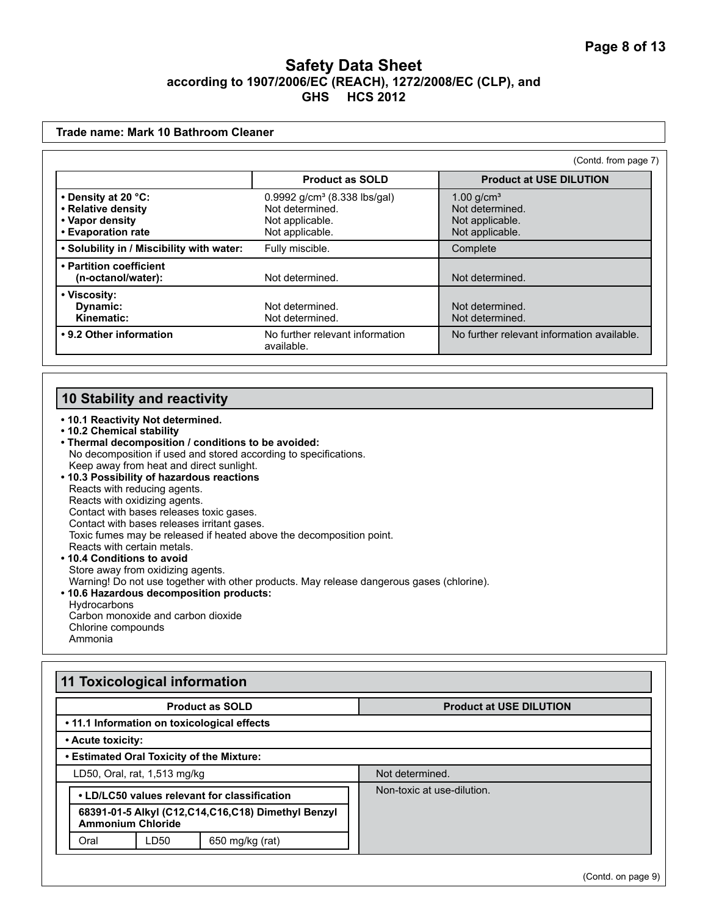| Trade name: Mark 10 Bathroom Cleaner                                               |                                                                                                   |                                                                                   |
|------------------------------------------------------------------------------------|---------------------------------------------------------------------------------------------------|-----------------------------------------------------------------------------------|
|                                                                                    |                                                                                                   | (Contd. from page 7)                                                              |
|                                                                                    | <b>Product as SOLD</b>                                                                            | <b>Product at USE DILUTION</b>                                                    |
| • Density at 20 °C:<br>• Relative density<br>• Vapor density<br>• Evaporation rate | 0.9992 g/cm <sup>3</sup> (8.338 lbs/gal)<br>Not determined.<br>Not applicable.<br>Not applicable. | $1.00$ g/cm <sup>3</sup><br>Not determined.<br>Not applicable.<br>Not applicable. |
| . Solubility in / Miscibility with water:                                          | Fully miscible.                                                                                   | Complete                                                                          |
| • Partition coefficient<br>(n-octanol/water):                                      | Not determined.                                                                                   | Not determined.                                                                   |
| • Viscosity:<br>Dynamic:<br>Kinematic:                                             | Not determined.<br>Not determined.                                                                | Not determined.<br>Not determined.                                                |
| • 9.2 Other information                                                            | No further relevant information<br>available.                                                     | No further relevant information available.                                        |

# **10 Stability and reactivity**

**• 10.1 Reactivity Not determined. • 10.2 Chemical stability • Thermal decomposition / conditions to be avoided:** No decomposition if used and stored according to specifications. Keep away from heat and direct sunlight. **• 10.3 Possibility of hazardous reactions** Reacts with reducing agents. Reacts with oxidizing agents. Contact with bases releases toxic gases. Contact with bases releases irritant gases. Toxic fumes may be released if heated above the decomposition point. Reacts with certain metals. **• 10.4 Conditions to avoid**  Store away from oxidizing agents. Warning! Do not use together with other products. May release dangerous gases (chlorine). **• 10.6 Hazardous decomposition products: Hydrocarbons** Carbon monoxide and carbon dioxide Chlorine compounds Ammonia

| <b>Product as SOLD</b>                                                            |      |                                             | <b>Product at USE DILUTION</b> |
|-----------------------------------------------------------------------------------|------|---------------------------------------------|--------------------------------|
|                                                                                   |      | • 11.1 Information on toxicological effects |                                |
| • Acute toxicity:                                                                 |      |                                             |                                |
|                                                                                   |      | . Estimated Oral Toxicity of the Mixture:   |                                |
| LD50, Oral, rat, 1,513 mg/kg                                                      |      |                                             | Not determined.                |
| • LD/LC50 values relevant for classification                                      |      |                                             | Non-toxic at use-dilution.     |
| 68391-01-5 Alkyl (C12, C14, C16, C18) Dimethyl Benzyl<br><b>Ammonium Chloride</b> |      |                                             |                                |
| Oral                                                                              | LD50 | 650 mg/kg (rat)                             |                                |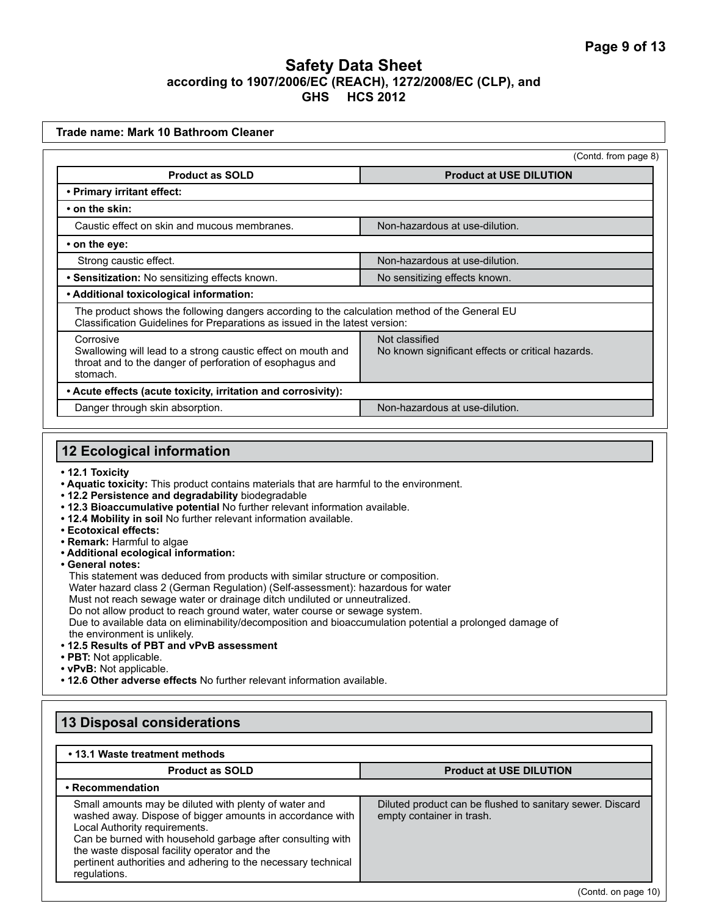|                                                                                                                                                                              | (Contd. from page 8)                                                |
|------------------------------------------------------------------------------------------------------------------------------------------------------------------------------|---------------------------------------------------------------------|
| <b>Product as SOLD</b>                                                                                                                                                       | <b>Product at USE DILUTION</b>                                      |
| • Primary irritant effect:                                                                                                                                                   |                                                                     |
| • on the skin:                                                                                                                                                               |                                                                     |
| Caustic effect on skin and mucous membranes.                                                                                                                                 | Non-hazardous at use-dilution.                                      |
| • on the eye:                                                                                                                                                                |                                                                     |
| Strong caustic effect.                                                                                                                                                       | Non-hazardous at use-dilution.                                      |
| • Sensitization: No sensitizing effects known.                                                                                                                               | No sensitizing effects known.                                       |
| • Additional toxicological information:                                                                                                                                      |                                                                     |
| The product shows the following dangers according to the calculation method of the General EU<br>Classification Guidelines for Preparations as issued in the latest version: |                                                                     |
| Corrosive<br>Swallowing will lead to a strong caustic effect on mouth and<br>throat and to the danger of perforation of esophagus and<br>stomach.                            | Not classified<br>No known significant effects or critical hazards. |
| • Acute effects (acute toxicity, irritation and corrosivity):                                                                                                                |                                                                     |
| Danger through skin absorption.                                                                                                                                              | Non-hazardous at use-dilution.                                      |
|                                                                                                                                                                              |                                                                     |
| <b>12 Ecological information</b>                                                                                                                                             |                                                                     |
|                                                                                                                                                                              |                                                                     |

**• vPvB:** Not applicable.

**• 12.6 Other adverse effects** No further relevant information available.

## **13 Disposal considerations**

#### **• 13.1 Waste treatment methods Product as SOLD Product at USE DILUTION • Recommendation** Small amounts may be diluted with plenty of water and washed away. Dispose of bigger amounts in accordance with Local Authority requirements. Can be burned with household garbage after consulting with the waste disposal facility operator and the pertinent authorities and adhering to the necessary technical regulations. Diluted product can be flushed to sanitary sewer. Discard empty container in trash. (Contd. on page 10)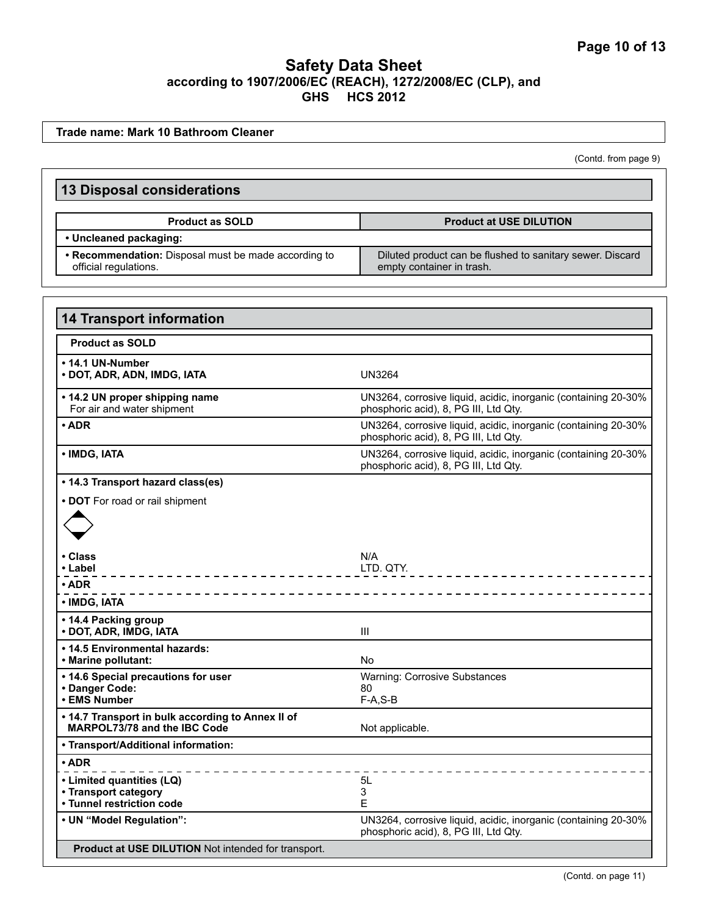**14 Transport information Product as SOLD • 14.1 UN-Number • DOT, ADR, ADN, IMDG, IATA** UN3264 **• 14.2 UN proper shipping name** For air and water shipment UN3264, corrosive liquid, acidic, inorganic (containing 20-30% phosphoric acid), 8, PG III, Ltd Qty. **• ADR** UN3264, corrosive liquid, acidic, inorganic (containing 20-30% phosphoric acid), 8, PG III, Ltd Qty. **• IMDG, IATA** UN3264, corrosive liquid, acidic, inorganic (containing 20-30% phosphoric acid), 8, PG III, Ltd Qty. **• 14.3 Transport hazard class(es) • DOT** For road or rail shipment **• Class • Label** N/A LTD. QTY. **• ADR • IMDG, IATA • 14.4 Packing group • DOT, ADR, IMDG, IATA** III **• 14.5 Environmental hazards: • Marine pollutant:** No **• 14.6 Special precautions for user • Danger Code: • EMS Number**  Warning: Corrosive Substances 80 F-A,S-B **• 14.7 Transport in bulk according to Annex II of MARPOL73/78 and the IBC Code** Not applicable. **• Transport/Additional information: • ADR • Limited quantities (LQ) • Transport category • Tunnel restriction code** 5L 3 E **• UN "Model Regulation":** UN3264, corrosive liquid, acidic, inorganic (containing 20-30% phosphoric acid), 8, PG III, Ltd Qty.  **Product at USE DILUTION** Not intended for transport. **13 Disposal considerations Product as SOLD Product at USE DILUTION • Uncleaned packaging: • Recommendation:** Disposal must be made according to official regulations. Diluted product can be flushed to sanitary sewer. Discard empty container in trash. **Trade name: Mark 10 Bathroom Cleaner** (Contd. from page 9)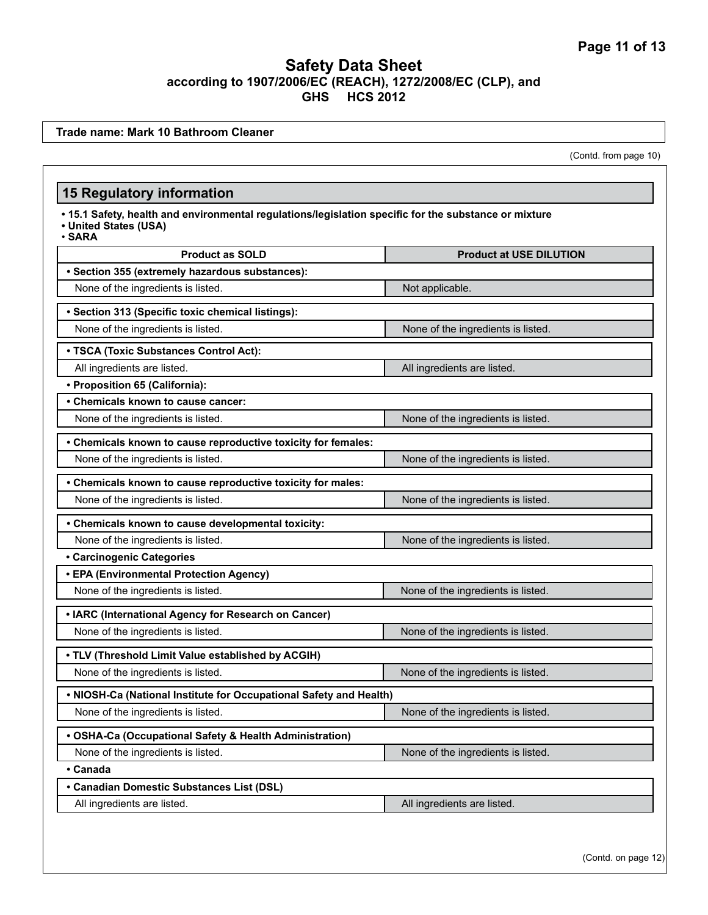**Trade name: Mark 10 Bathroom Cleaner**

(Contd. from page 10)

#### **15 Regulatory information**

**• 15.1 Safety, health and environmental regulations/legislation specific for the substance or mixture • United States (USA)**

• **SARA**

| <b>Product as SOLD</b>                                             | <b>Product at USE DILUTION</b>     |  |  |  |  |
|--------------------------------------------------------------------|------------------------------------|--|--|--|--|
| · Section 355 (extremely hazardous substances):                    |                                    |  |  |  |  |
| None of the ingredients is listed.                                 | Not applicable.                    |  |  |  |  |
| · Section 313 (Specific toxic chemical listings):                  |                                    |  |  |  |  |
| None of the ingredients is listed.                                 | None of the ingredients is listed. |  |  |  |  |
| • TSCA (Toxic Substances Control Act):                             |                                    |  |  |  |  |
| All ingredients are listed.                                        | All ingredients are listed.        |  |  |  |  |
| • Proposition 65 (California):                                     |                                    |  |  |  |  |
| • Chemicals known to cause cancer:                                 |                                    |  |  |  |  |
| None of the ingredients is listed.                                 | None of the ingredients is listed. |  |  |  |  |
| • Chemicals known to cause reproductive toxicity for females:      |                                    |  |  |  |  |
| None of the ingredients is listed.                                 | None of the ingredients is listed. |  |  |  |  |
| • Chemicals known to cause reproductive toxicity for males:        |                                    |  |  |  |  |
| None of the ingredients is listed.                                 | None of the ingredients is listed. |  |  |  |  |
| • Chemicals known to cause developmental toxicity:                 |                                    |  |  |  |  |
| None of the ingredients is listed.                                 | None of the ingredients is listed. |  |  |  |  |
| <b>• Carcinogenic Categories</b>                                   |                                    |  |  |  |  |
| • EPA (Environmental Protection Agency)                            |                                    |  |  |  |  |
| None of the ingredients is listed.                                 | None of the ingredients is listed. |  |  |  |  |
| • IARC (International Agency for Research on Cancer)               |                                    |  |  |  |  |
| None of the ingredients is listed.                                 | None of the ingredients is listed. |  |  |  |  |
| . TLV (Threshold Limit Value established by ACGIH)                 |                                    |  |  |  |  |
| None of the ingredients is listed.                                 | None of the ingredients is listed. |  |  |  |  |
| . NIOSH-Ca (National Institute for Occupational Safety and Health) |                                    |  |  |  |  |
| None of the ingredients is listed.                                 | None of the ingredients is listed. |  |  |  |  |
| • OSHA-Ca (Occupational Safety & Health Administration)            |                                    |  |  |  |  |
| None of the ingredients is listed.                                 | None of the ingredients is listed. |  |  |  |  |
| • Canada                                                           |                                    |  |  |  |  |
| • Canadian Domestic Substances List (DSL)                          |                                    |  |  |  |  |
| All ingredients are listed.                                        | All ingredients are listed.        |  |  |  |  |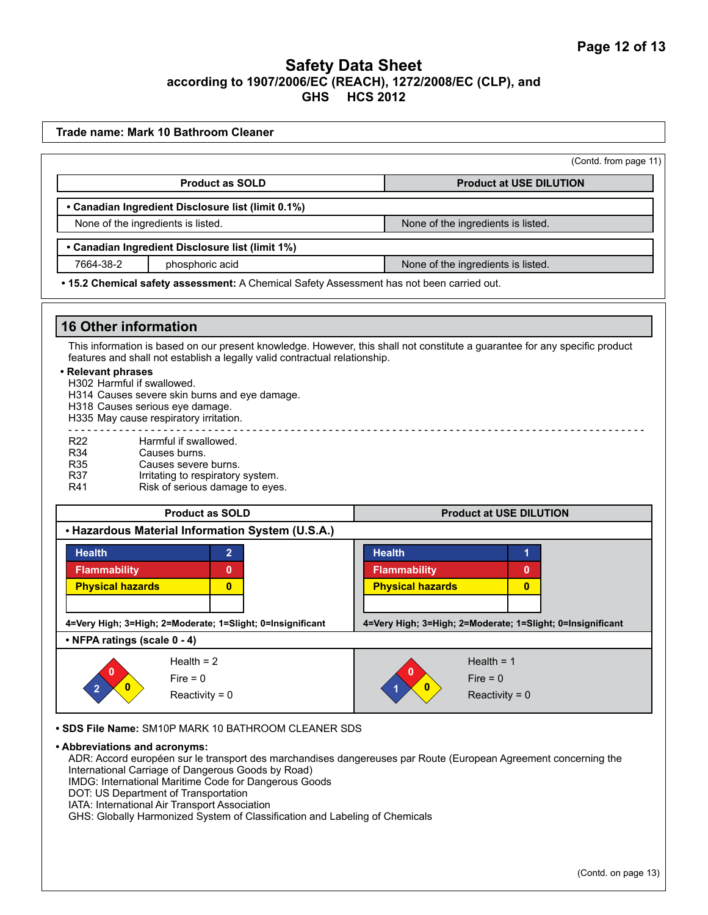|                                                                                                               |                                                                                                                                                                                                                                                                                                                                                                                                                                  | (Contd. from page 11)                                                                                                                                         |
|---------------------------------------------------------------------------------------------------------------|----------------------------------------------------------------------------------------------------------------------------------------------------------------------------------------------------------------------------------------------------------------------------------------------------------------------------------------------------------------------------------------------------------------------------------|---------------------------------------------------------------------------------------------------------------------------------------------------------------|
|                                                                                                               | <b>Product as SOLD</b>                                                                                                                                                                                                                                                                                                                                                                                                           | <b>Product at USE DILUTION</b>                                                                                                                                |
|                                                                                                               | • Canadian Ingredient Disclosure list (limit 0.1%)                                                                                                                                                                                                                                                                                                                                                                               |                                                                                                                                                               |
|                                                                                                               | None of the ingredients is listed.                                                                                                                                                                                                                                                                                                                                                                                               | None of the ingredients is listed.                                                                                                                            |
|                                                                                                               | • Canadian Ingredient Disclosure list (limit 1%)                                                                                                                                                                                                                                                                                                                                                                                 |                                                                                                                                                               |
| 7664-38-2                                                                                                     | phosphoric acid                                                                                                                                                                                                                                                                                                                                                                                                                  | None of the ingredients is listed.                                                                                                                            |
|                                                                                                               | . 15.2 Chemical safety assessment: A Chemical Safety Assessment has not been carried out.                                                                                                                                                                                                                                                                                                                                        |                                                                                                                                                               |
| <b>16 Other information</b>                                                                                   |                                                                                                                                                                                                                                                                                                                                                                                                                                  |                                                                                                                                                               |
| • Relevant phrases<br>H302 Harmful if swallowed.<br>R <sub>22</sub><br><b>R34</b><br>R35<br><b>R37</b><br>R41 | features and shall not establish a legally valid contractual relationship.<br>H314 Causes severe skin burns and eye damage.<br>H318 Causes serious eye damage.<br>H335 May cause respiratory irritation.<br>Harmful if swallowed.<br>Causes burns.<br>Causes severe burns.<br>Irritating to respiratory system.<br>Risk of serious damage to eyes.<br><b>Product as SOLD</b><br>• Hazardous Material Information System (U.S.A.) | This information is based on our present knowledge. However, this shall not constitute a guarantee for any specific product<br><b>Product at USE DILUTION</b> |
| <b>Health</b>                                                                                                 | $\overline{2}$                                                                                                                                                                                                                                                                                                                                                                                                                   | <b>Health</b><br>1                                                                                                                                            |
| <b>Flammability</b>                                                                                           | 0                                                                                                                                                                                                                                                                                                                                                                                                                                | <b>Flammability</b><br>0                                                                                                                                      |
| <b>Physical hazards</b>                                                                                       | $\bf{0}$                                                                                                                                                                                                                                                                                                                                                                                                                         | <b>Physical hazards</b><br>$\bf{0}$                                                                                                                           |
|                                                                                                               | 4=Very High; 3=High; 2=Moderate; 1=Slight; 0=Insignificant                                                                                                                                                                                                                                                                                                                                                                       | 4=Very High; 3=High; 2=Moderate; 1=Slight; 0=Insignificant                                                                                                    |
|                                                                                                               |                                                                                                                                                                                                                                                                                                                                                                                                                                  |                                                                                                                                                               |
|                                                                                                               |                                                                                                                                                                                                                                                                                                                                                                                                                                  | Health = $1$                                                                                                                                                  |
| • NFPA ratings (scale 0 - 4)                                                                                  | Health $= 2$<br>$Fire = 0$<br>Reactivity = $0$                                                                                                                                                                                                                                                                                                                                                                                   | $Fire = 0$<br>Reactivity = $0$                                                                                                                                |

- International Carriage of Dangerous Goods by Road) IMDG: International Maritime Code for Dangerous Goods
- DOT: US Department of Transportation
- IATA: International Air Transport Association

GHS: Globally Harmonized System of Classification and Labeling of Chemicals